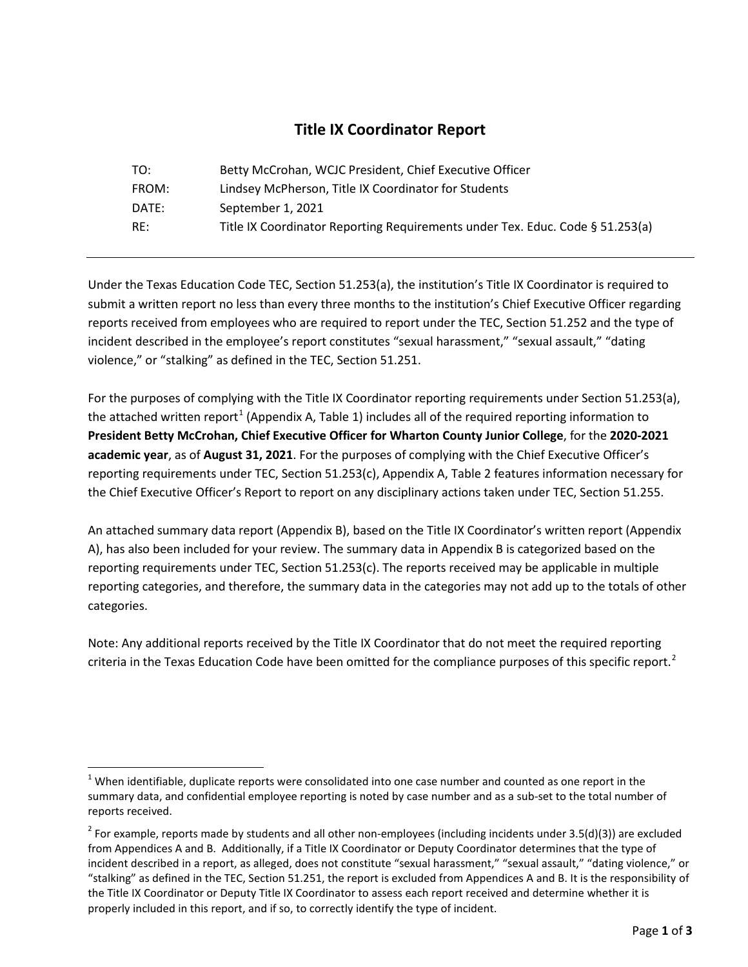## **Title IX Coordinator Report**

| TO:   | Betty McCrohan, WCJC President, Chief Executive Officer                       |
|-------|-------------------------------------------------------------------------------|
| FROM: | Lindsey McPherson, Title IX Coordinator for Students                          |
| DATE: | September 1, 2021                                                             |
| RE:   | Title IX Coordinator Reporting Requirements under Tex. Educ. Code § 51.253(a) |

Under the Texas Education Code TEC, Section 51.253(a), the institution's Title IX Coordinator is required to submit a written report no less than every three months to the institution's Chief Executive Officer regarding reports received from employees who are required to report under the TEC, Section 51.252 and the type of incident described in the employee's report constitutes "sexual harassment," "sexual assault," "dating violence," or "stalking" as defined in the TEC, Section 51.251.

For the purposes of complying with the Title IX Coordinator reporting requirements under Section 51.253(a), the attached written report<sup>[1](#page-0-0)</sup> (Appendix A, Table 1) includes all of the required reporting information to **President Betty McCrohan, Chief Executive Officer for Wharton County Junior College**, for the **2020-2021 academic year**, as of **August 31, 2021**. For the purposes of complying with the Chief Executive Officer's reporting requirements under TEC, Section 51.253(c), Appendix A, Table 2 features information necessary for the Chief Executive Officer's Report to report on any disciplinary actions taken under TEC, Section 51.255.

An attached summary data report (Appendix B), based on the Title IX Coordinator's written report (Appendix A), has also been included for your review. The summary data in Appendix B is categorized based on the reporting requirements under TEC, Section 51.253(c). The reports received may be applicable in multiple reporting categories, and therefore, the summary data in the categories may not add up to the totals of other categories.

Note: Any additional reports received by the Title IX Coordinator that do not meet the required reporting criteria in the Texas Education Code have been omitted for the compliance purposes of this specific report.<sup>[2](#page-0-1)</sup>

<span id="page-0-0"></span> $1$  When identifiable, duplicate reports were consolidated into one case number and counted as one report in the summary data, and confidential employee reporting is noted by case number and as a sub-set to the total number of reports received.

<span id="page-0-1"></span> $2$  For example, reports made by students and all other non-employees (including incidents under 3.5(d)(3)) are excluded from Appendices A and B. Additionally, if a Title IX Coordinator or Deputy Coordinator determines that the type of incident described in a report, as alleged, does not constitute "sexual harassment," "sexual assault," "dating violence," or "stalking" as defined in the TEC, Section 51.251, the report is excluded from Appendices A and B. It is the responsibility of the Title IX Coordinator or Deputy Title IX Coordinator to assess each report received and determine whether it is properly included in this report, and if so, to correctly identify the type of incident.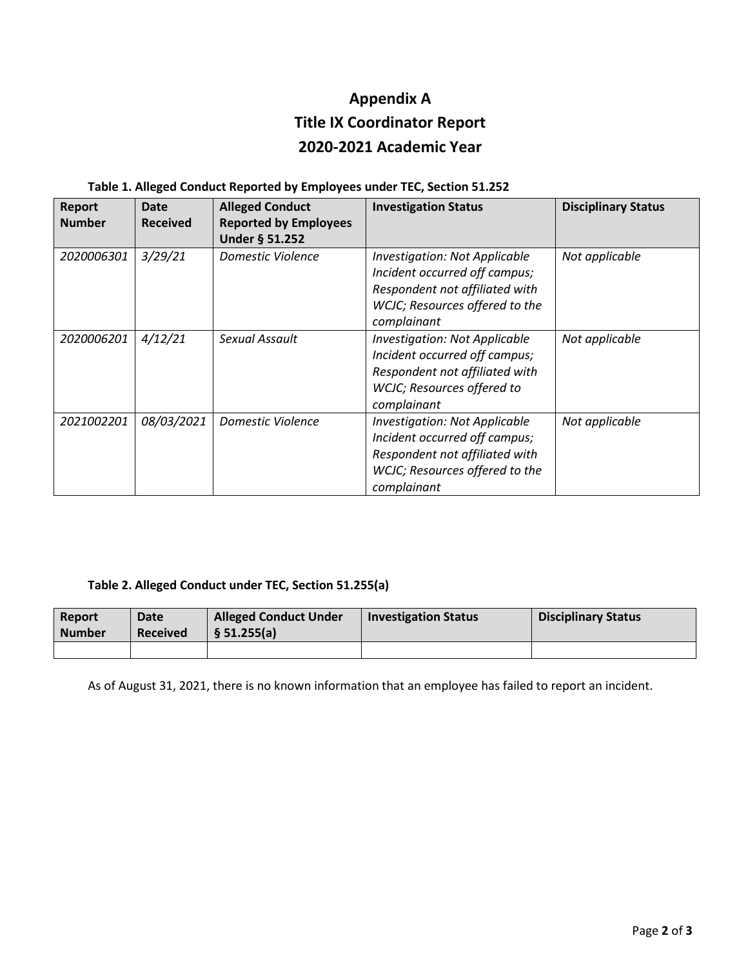# **Appendix A Title IX Coordinator Report 2020-2021 Academic Year**

|  |  | Table 1. Alleged Conduct Reported by Employees under TEC, Section 51.252 |  |  |  |
|--|--|--------------------------------------------------------------------------|--|--|--|
|  |  |                                                                          |  |  |  |

| Report<br><b>Number</b> | Date<br><b>Received</b> | <b>Alleged Conduct</b><br><b>Reported by Employees</b><br><b>Under § 51.252</b> | <b>Investigation Status</b>                                                                                                                              | <b>Disciplinary Status</b> |
|-------------------------|-------------------------|---------------------------------------------------------------------------------|----------------------------------------------------------------------------------------------------------------------------------------------------------|----------------------------|
| 2020006301              | 3/29/21                 | Domestic Violence                                                               | <b>Investigation: Not Applicable</b><br>Incident occurred off campus;<br>Respondent not affiliated with<br>WCJC; Resources offered to the<br>complainant | Not applicable             |
| 2020006201              | 4/12/21                 | Sexual Assault                                                                  | <b>Investigation: Not Applicable</b><br>Incident occurred off campus;<br>Respondent not affiliated with<br>WCJC; Resources offered to<br>complainant     | Not applicable             |
| 2021002201              | 08/03/2021              | Domestic Violence                                                               | <b>Investigation: Not Applicable</b><br>Incident occurred off campus;<br>Respondent not affiliated with<br>WCJC; Resources offered to the<br>complainant | Not applicable             |

#### **Table 2. Alleged Conduct under TEC, Section 51.255(a)**

| <b>Report</b><br><b>Number</b> | Date<br><b>Received</b> | <b>Alleged Conduct Under</b><br>§ 51.255(a) | <b>Investigation Status</b> | <b>Disciplinary Status</b> |
|--------------------------------|-------------------------|---------------------------------------------|-----------------------------|----------------------------|
|                                |                         |                                             |                             |                            |

As of August 31, 2021, there is no known information that an employee has failed to report an incident.